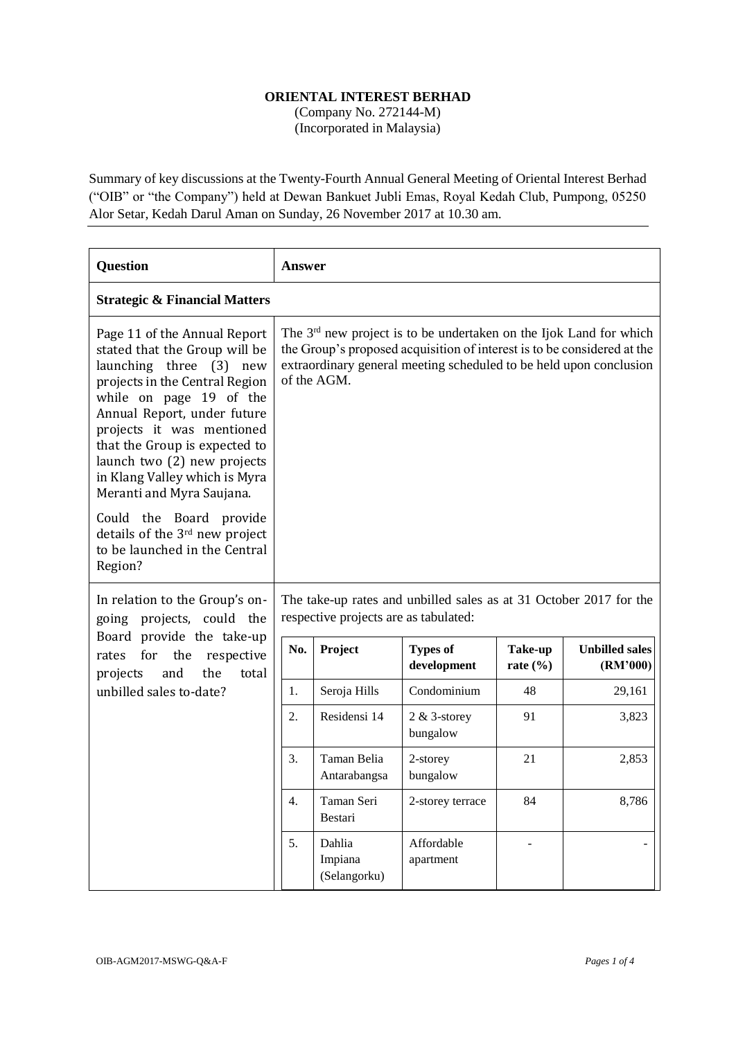## **ORIENTAL INTEREST BERHAD**

(Company No. 272144-M) (Incorporated in Malaysia)

Summary of key discussions at the Twenty-Fourth Annual General Meeting of Oriental Interest Berhad ("OIB" or "the Company") held at Dewan Bankuet Jubli Emas, Royal Kedah Club, Pumpong, 05250 Alor Setar, Kedah Darul Aman on Sunday, 26 November 2017 at 10.30 am.

| <b>Question</b>                                                                                                                                                                                                                                                                                                                                    | <b>Answer</b>                                                                                                                                                                                                                                  |                                   |                                |                         |                                   |  |  |
|----------------------------------------------------------------------------------------------------------------------------------------------------------------------------------------------------------------------------------------------------------------------------------------------------------------------------------------------------|------------------------------------------------------------------------------------------------------------------------------------------------------------------------------------------------------------------------------------------------|-----------------------------------|--------------------------------|-------------------------|-----------------------------------|--|--|
| <b>Strategic &amp; Financial Matters</b>                                                                                                                                                                                                                                                                                                           |                                                                                                                                                                                                                                                |                                   |                                |                         |                                   |  |  |
| Page 11 of the Annual Report<br>stated that the Group will be<br>launching three (3)<br>new<br>projects in the Central Region<br>while on page 19 of the<br>Annual Report, under future<br>projects it was mentioned<br>that the Group is expected to<br>launch two (2) new projects<br>in Klang Valley which is Myra<br>Meranti and Myra Saujana. | The 3 <sup>rd</sup> new project is to be undertaken on the Ijok Land for which<br>the Group's proposed acquisition of interest is to be considered at the<br>extraordinary general meeting scheduled to be held upon conclusion<br>of the AGM. |                                   |                                |                         |                                   |  |  |
| Could the Board provide<br>details of the 3rd new project<br>to be launched in the Central<br>Region?                                                                                                                                                                                                                                              |                                                                                                                                                                                                                                                |                                   |                                |                         |                                   |  |  |
| In relation to the Group's on-<br>going projects, could the<br>Board provide the take-up<br>the<br>for<br>respective<br>rates<br>the<br>projects<br>and<br>total                                                                                                                                                                                   | The take-up rates and unbilled sales as at 31 October 2017 for the<br>respective projects are as tabulated:                                                                                                                                    |                                   |                                |                         |                                   |  |  |
|                                                                                                                                                                                                                                                                                                                                                    | No.                                                                                                                                                                                                                                            | Project                           | <b>Types of</b><br>development | Take-up<br>rate $(\% )$ | <b>Unbilled sales</b><br>(RM'000) |  |  |
| unbilled sales to-date?                                                                                                                                                                                                                                                                                                                            | 1.                                                                                                                                                                                                                                             | Seroja Hills                      | Condominium                    | 48                      | 29,161                            |  |  |
|                                                                                                                                                                                                                                                                                                                                                    | 2.                                                                                                                                                                                                                                             | Residensi 14                      | $2 & 3$ -storey<br>bungalow    | 91                      | 3,823                             |  |  |
|                                                                                                                                                                                                                                                                                                                                                    | 3.                                                                                                                                                                                                                                             | Taman Belia<br>Antarabangsa       | 2-storey<br>bungalow           | 21                      | 2,853                             |  |  |
|                                                                                                                                                                                                                                                                                                                                                    | 4.                                                                                                                                                                                                                                             | Taman Seri<br>Bestari             | 2-storey terrace               | 84                      | 8,786                             |  |  |
|                                                                                                                                                                                                                                                                                                                                                    | 5.                                                                                                                                                                                                                                             | Dahlia<br>Impiana<br>(Selangorku) | Affordable<br>apartment        |                         |                                   |  |  |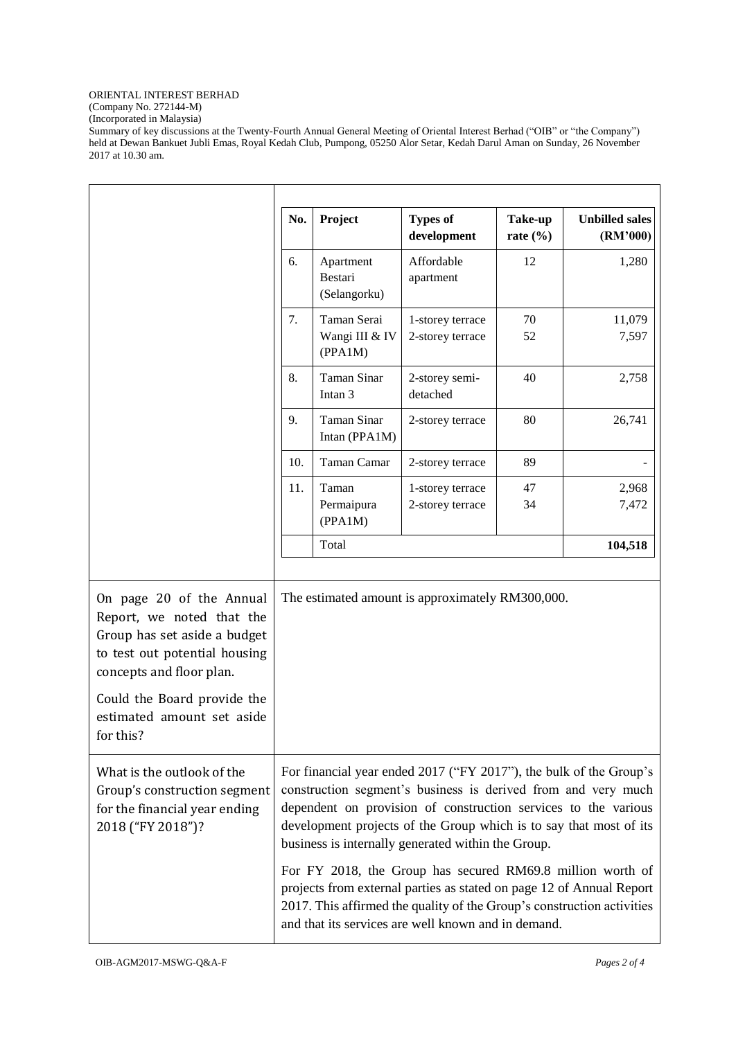## ORIENTAL INTEREST BERHAD

(Company No. 272144-M)

(Incorporated in Malaysia)

Summary of key discussions at the Twenty-Fourth Annual General Meeting of Oriental Interest Berhad ("OIB" or "the Company") held at Dewan Bankuet Jubli Emas, Royal Kedah Club, Pumpong, 05250 Alor Setar, Kedah Darul Aman on Sunday, 26 November 2017 at 10.30 am.

|                                                                                                                                                                                                                 | No.                                                                                                                                                                                                                                                                                                                               | Project                                  | <b>Types of</b><br>development       | Take-up<br>rate $(\% )$ | <b>Unbilled sales</b><br>(RM'000) |
|-----------------------------------------------------------------------------------------------------------------------------------------------------------------------------------------------------------------|-----------------------------------------------------------------------------------------------------------------------------------------------------------------------------------------------------------------------------------------------------------------------------------------------------------------------------------|------------------------------------------|--------------------------------------|-------------------------|-----------------------------------|
|                                                                                                                                                                                                                 | 6.                                                                                                                                                                                                                                                                                                                                | Apartment<br>Bestari<br>(Selangorku)     | Affordable<br>apartment              | 12                      | 1,280                             |
|                                                                                                                                                                                                                 | 7.                                                                                                                                                                                                                                                                                                                                | Taman Serai<br>Wangi III & IV<br>(PPA1M) | 1-storey terrace<br>2-storey terrace | 70<br>52                | 11,079<br>7,597                   |
|                                                                                                                                                                                                                 | 8.                                                                                                                                                                                                                                                                                                                                | Taman Sinar<br>Intan <sub>3</sub>        | 2-storey semi-<br>detached           | 40                      | 2,758                             |
|                                                                                                                                                                                                                 | 9.                                                                                                                                                                                                                                                                                                                                | Taman Sinar<br>Intan (PPA1M)             | 2-storey terrace                     | 80                      | 26,741                            |
|                                                                                                                                                                                                                 | 10.                                                                                                                                                                                                                                                                                                                               | Taman Camar                              | 2-storey terrace                     | 89                      |                                   |
|                                                                                                                                                                                                                 | 11.                                                                                                                                                                                                                                                                                                                               | Taman<br>Permaipura<br>(PPA1M)           | 1-storey terrace<br>2-storey terrace | 47<br>34                | 2,968<br>7,472                    |
|                                                                                                                                                                                                                 |                                                                                                                                                                                                                                                                                                                                   | Total                                    |                                      |                         | 104,518                           |
| On page 20 of the Annual<br>Report, we noted that the<br>Group has set aside a budget<br>to test out potential housing<br>concepts and floor plan.<br>Could the Board provide the<br>estimated amount set aside | The estimated amount is approximately RM300,000.                                                                                                                                                                                                                                                                                  |                                          |                                      |                         |                                   |
| for this?                                                                                                                                                                                                       |                                                                                                                                                                                                                                                                                                                                   |                                          |                                      |                         |                                   |
| What is the outlook of the<br>Group's construction segment<br>for the financial year ending<br>2018 ("FY 2018")?                                                                                                | For financial year ended 2017 ("FY 2017"), the bulk of the Group's<br>construction segment's business is derived from and very much<br>dependent on provision of construction services to the various<br>development projects of the Group which is to say that most of its<br>business is internally generated within the Group. |                                          |                                      |                         |                                   |
|                                                                                                                                                                                                                 | For FY 2018, the Group has secured RM69.8 million worth of<br>projects from external parties as stated on page 12 of Annual Report<br>2017. This affirmed the quality of the Group's construction activities<br>and that its services are well known and in demand.                                                               |                                          |                                      |                         |                                   |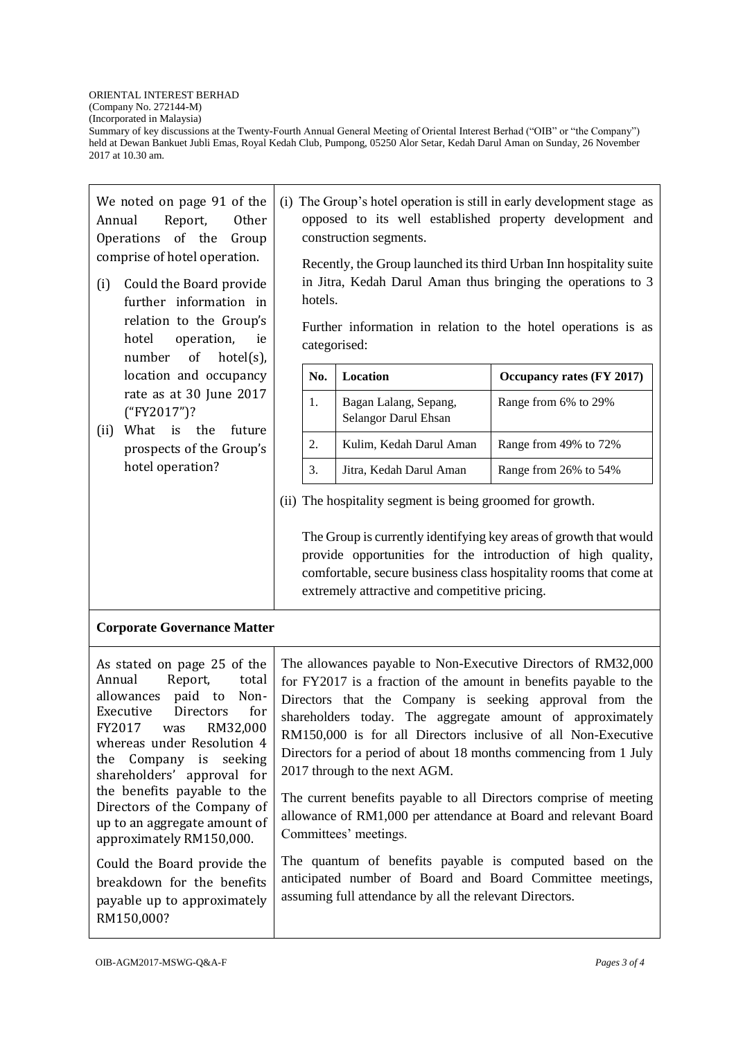(Company No. 272144-M) (Incorporated in Malaysia)

Summary of key discussions at the Twenty-Fourth Annual General Meeting of Oriental Interest Berhad ("OIB" or "the Company") held at Dewan Bankuet Jubli Emas, Royal Kedah Club, Pumpong, 05250 Alor Setar, Kedah Darul Aman on Sunday, 26 November 2017 at 10.30 am.

We noted on page 91 of the Annual Report, Other Operations of the Group comprise of hotel operation.

(i) Could the Board provide further information in relation to the Group's hotel operation, ie number of hotel(s), location and occupancy rate as at 30 June 2017 ("FY2017")?

(ii) What is the future prospects of the Group's hotel operation?

(i) The Group's hotel operation is still in early development stage as opposed to its well established property development and construction segments.

Recently, the Group launched its third Urban Inn hospitality suite in Jitra, Kedah Darul Aman thus bringing the operations to 3 hotels.

Further information in relation to the hotel operations is as categorised:

| No. | Location                                      | Occupancy rates (FY 2017) |
|-----|-----------------------------------------------|---------------------------|
| 1.  | Bagan Lalang, Sepang,<br>Selangor Darul Ehsan | Range from 6% to 29%      |
| 2.  | Kulim, Kedah Darul Aman                       | Range from 49% to 72%     |
| 3.  | Jitra, Kedah Darul Aman                       | Range from 26% to 54%     |

(ii) The hospitality segment is being groomed for growth.

The Group is currently identifying key areas of growth that would provide opportunities for the introduction of high quality, comfortable, secure business class hospitality rooms that come at extremely attractive and competitive pricing.

## **Corporate Governance Matter**

As stated on page 25 of the Annual Report, total allowances paid to Non-Executive Directors for FY2017 was RM32,000 whereas under Resolution 4 the Company is seeking shareholders' approval for the benefits payable to the Directors of the Company of up to an aggregate amount of approximately RM150,000.

Could the Board provide the breakdown for the benefits payable up to approximately RM150,000?

The allowances payable to Non-Executive Directors of RM32,000 for FY2017 is a fraction of the amount in benefits payable to the Directors that the Company is seeking approval from the shareholders today. The aggregate amount of approximately RM150,000 is for all Directors inclusive of all Non-Executive Directors for a period of about 18 months commencing from 1 July 2017 through to the next AGM.

The current benefits payable to all Directors comprise of meeting allowance of RM1,000 per attendance at Board and relevant Board Committees' meetings.

The quantum of benefits payable is computed based on the anticipated number of Board and Board Committee meetings, assuming full attendance by all the relevant Directors.